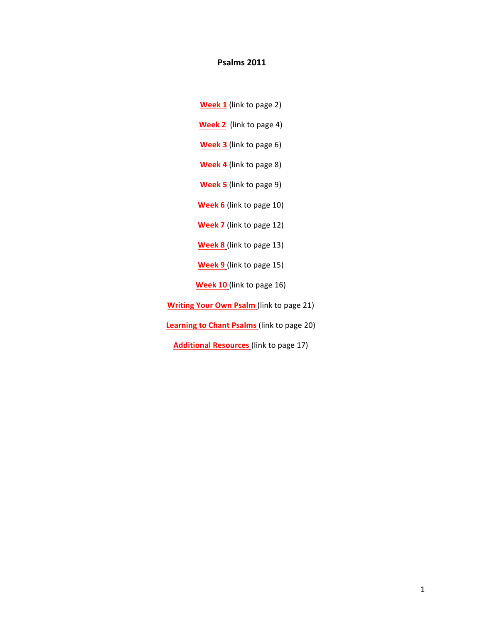# **Psalms 2011**

- **Week 1** (link to page 2)
- **Week 2** (link to page 4)
- **Week 3** (link to page 6)
- **Week 4** (link to page 8)
- **Week 5** (link to page 9)
- **Week 6** (link to page 10)
- **Week 7** (link to page 12)
- **Week 8** (link to page 13)
- **Week 9** (link to page 15)
- **Week 10** (link to page 16)
- **Writing Your Own Psalm** (link to page 21)
- **Learning to Chant Psalms** (link to page 20)
	- **Additional Resources** (link to page 17)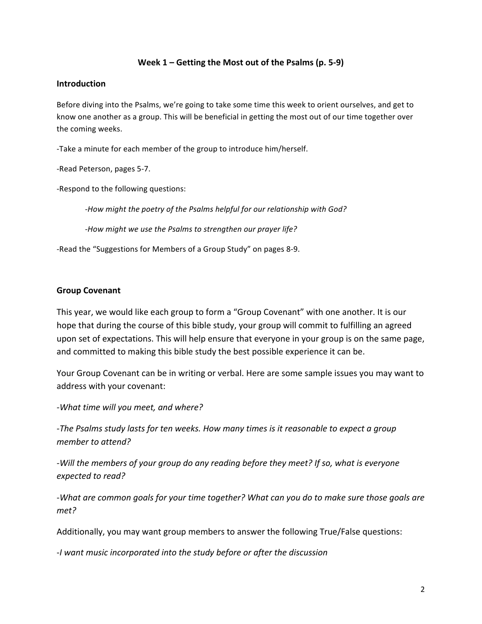# **Week 1 – Getting the Most out of the Psalms (p. 5-9)**

### **Introduction**

Before diving into the Psalms, we're going to take some time this week to orient ourselves, and get to know one another as a group. This will be beneficial in getting the most out of our time together over the coming weeks.

-Take a minute for each member of the group to introduce him/herself.

-Read Peterson, pages 5-7.

-Respond to the following questions:

-How might the poetry of the Psalms helpful for our relationship with God?

*-How might we use the Psalms to strengthen our prayer life?* 

-Read the "Suggestions for Members of a Group Study" on pages 8-9.

# **Group Covenant**

This year, we would like each group to form a "Group Covenant" with one another. It is our hope that during the course of this bible study, your group will commit to fulfilling an agreed upon set of expectations. This will help ensure that everyone in your group is on the same page, and committed to making this bible study the best possible experience it can be.

Your Group Covenant can be in writing or verbal. Here are some sample issues you may want to address with your covenant:

-What time will you meet, and where?

*-The Psalms study lasts for ten weeks. How many times is it reasonable to expect a group member to attend?*

*-Will the members of your group do any reading before they meet? If so, what is everyone expected to read?*

-What are common goals for your time together? What can you do to make sure those goals are *met?*

Additionally, you may want group members to answer the following True/False questions:

-*I want music incorporated into the study before or after the discussion*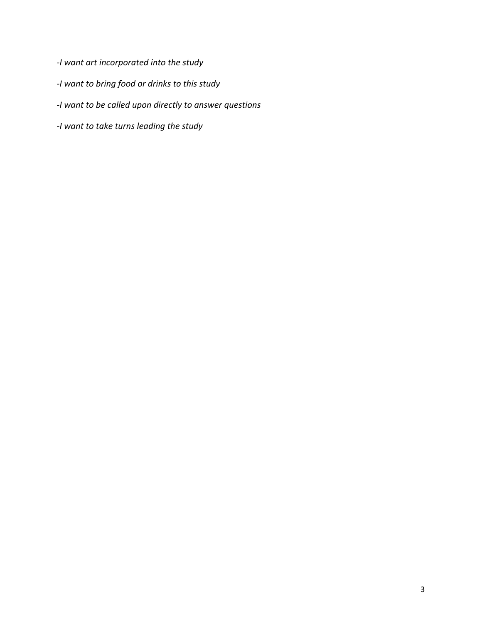- *-I want art incorporated into the study*
- *-I want to bring food or drinks to this study*
- *-I want to be called upon directly to answer questions*
- *-I want to take turns leading the study*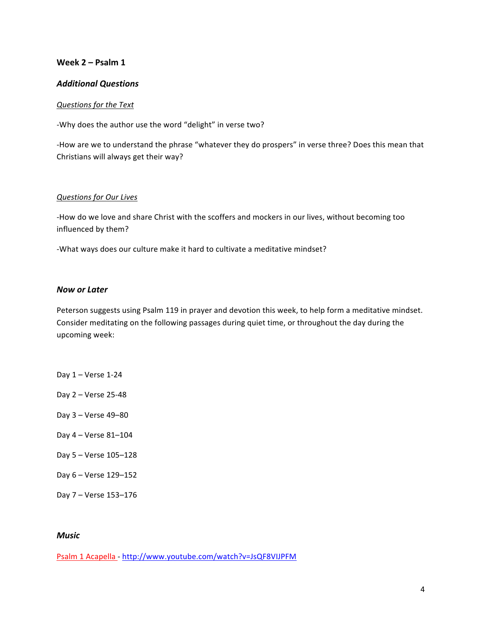### **Week 2 – Psalm 1**

### *Additional Questions*

#### *Questions for the Text*

-Why does the author use the word "delight" in verse two?

-How are we to understand the phrase "whatever they do prospers" in verse three? Does this mean that Christians will always get their way?

### *Questions for Our Lives*

-How do we love and share Christ with the scoffers and mockers in our lives, without becoming too influenced by them?

-What ways does our culture make it hard to cultivate a meditative mindset?

### *Now or Later*

Peterson suggests using Psalm 119 in prayer and devotion this week, to help form a meditative mindset. Consider meditating on the following passages during quiet time, or throughout the day during the upcoming week:

- Day  $1 -$  Verse  $1-24$
- Day 2 Verse 25-48
- Day 3 – Verse 49–80
- Day 4 Verse 81-104
- Day 5 – Verse 105–128
- Day 6 – Verse 129–152
- Day 7 – Verse 153–176

#### *Music*

Psalm 1 Acapella - http://www.youtube.com/watch?v=JsQF8VIJPFM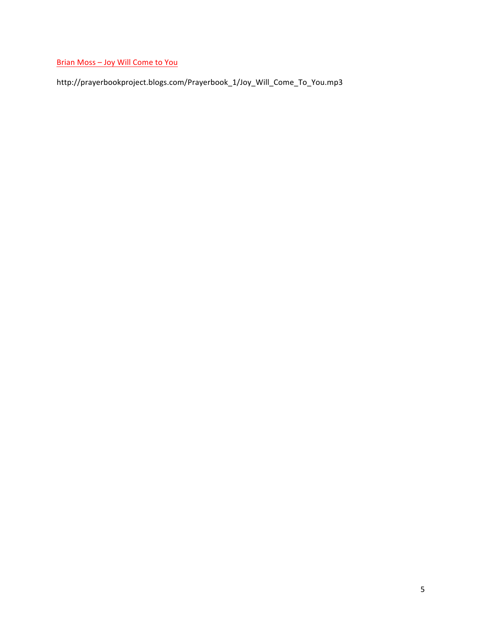Brian Moss - Joy Will Come to You

http://prayerbookproject.blogs.com/Prayerbook\_1/Joy\_Will\_Come\_To\_You.mp3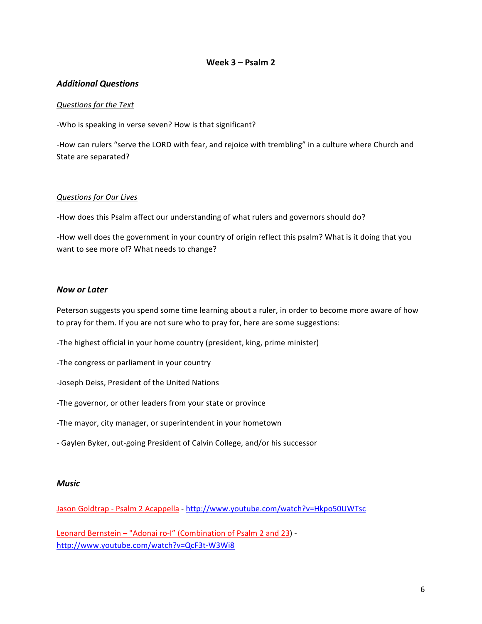# **Week 3 – Psalm 2**

### *Additional Questions*

### *Questions for the Text*

-Who is speaking in verse seven? How is that significant?

-How can rulers "serve the LORD with fear, and rejoice with trembling" in a culture where Church and State are separated?

### *Questions for Our Lives*

-How does this Psalm affect our understanding of what rulers and governors should do?

-How well does the government in your country of origin reflect this psalm? What is it doing that you want to see more of? What needs to change?

### *Now or Later*

Peterson suggests you spend some time learning about a ruler, in order to become more aware of how to pray for them. If you are not sure who to pray for, here are some suggestions:

-The highest official in your home country (president, king, prime minister)

-The congress or parliament in your country

-Joseph Deiss, President of the United Nations

-The governor, or other leaders from your state or province

-The mayor, city manager, or superintendent in your hometown

- Gaylen Byker, out-going President of Calvin College, and/or his successor

#### *Music*

Jason Goldtrap - Psalm 2 Acappella - http://www.youtube.com/watch?v=Hkpo50UWTsc

Leonard Bernstein - "Adonai ro-I" (Combination of Psalm 2 and 23) http://www.youtube.com/watch?v=QcF3t-W3Wi8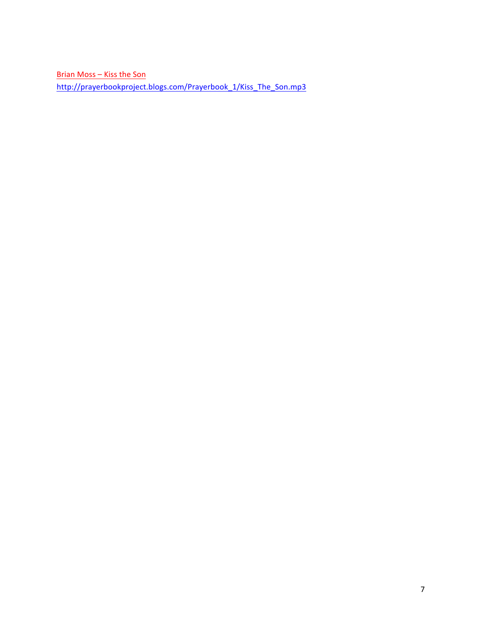Brian Moss - Kiss the Son http://prayerbookproject.blogs.com/Prayerbook\_1/Kiss\_The\_Son.mp3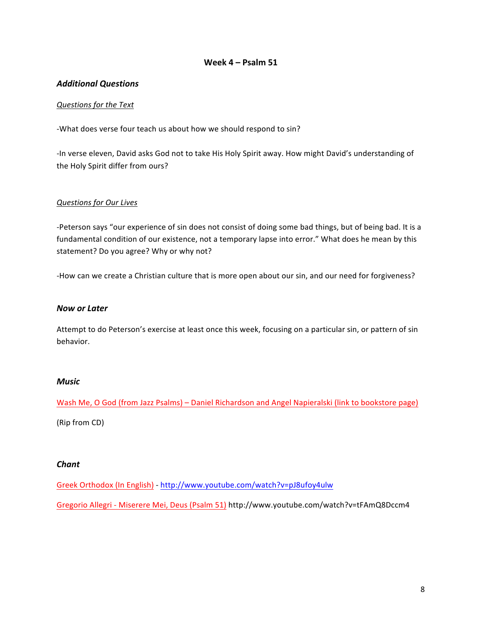### **Week 4 – Psalm 51**

### *Additional Questions*

### *Questions for the Text*

-What does verse four teach us about how we should respond to sin?

-In verse eleven, David asks God not to take His Holy Spirit away. How might David's understanding of the Holy Spirit differ from ours?

### *Questions for Our Lives*

-Peterson says "our experience of sin does not consist of doing some bad things, but of being bad. It is a fundamental condition of our existence, not a temporary lapse into error." What does he mean by this statement? Do you agree? Why or why not?

-How can we create a Christian culture that is more open about our sin, and our need for forgiveness?

### *Now or Later*

Attempt to do Peterson's exercise at least once this week, focusing on a particular sin, or pattern of sin behavior. 

#### *Music*

Wash Me, O God (from Jazz Psalms) – Daniel Richardson and Angel Napieralski (link to bookstore page)

(Rip from CD)

#### *Chant*

Greek Orthodox (In English) - http://www.youtube.com/watch?v=pJ8ufoy4ulw

Gregorio Allegri - Miserere Mei, Deus (Psalm 51) http://www.youtube.com/watch?v=tFAmQ8Dccm4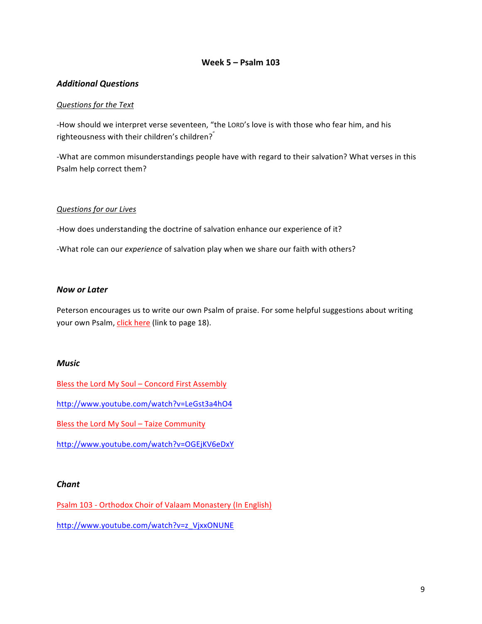# **Week 5 – Psalm 103**

### *Additional Questions*

### *Questions for the Text*

-How should we interpret verse seventeen, "the LORD's love is with those who fear him, and his righteousness with their children's children?"

-What are common misunderstandings people have with regard to their salvation? What verses in this Psalm help correct them?

#### *Questions for our Lives*

-How does understanding the doctrine of salvation enhance our experience of it?

-What role can our *experience* of salvation play when we share our faith with others?

### *Now or Later*

Peterson encourages us to write our own Psalm of praise. For some helpful suggestions about writing your own Psalm, click here (link to page 18).

### *Music*

Bless the Lord My Soul – Concord First Assembly

http://www.youtube.com/watch?v=LeGst3a4hO4

Bless the Lord My Soul - Taize Community

http://www.youtube.com/watch?v=OGEjKV6eDxY

### *Chant*

Psalm 103 - Orthodox Choir of Valaam Monastery (In English) http://www.youtube.com/watch?v=z\_VjxxONUNE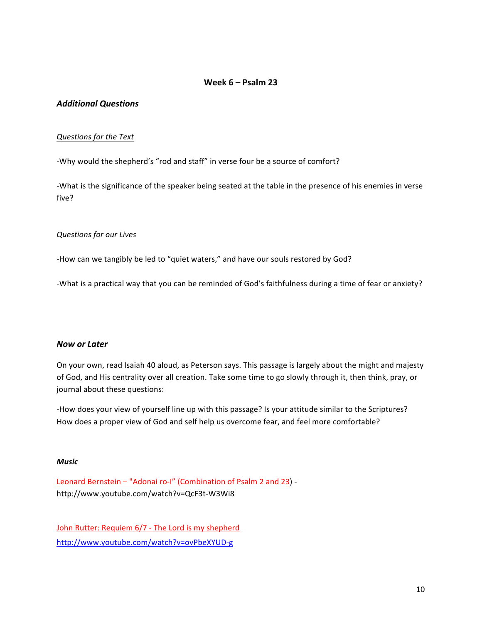### **Week 6 – Psalm 23**

### *Additional Questions*

### *Questions for the Text*

-Why would the shepherd's "rod and staff" in verse four be a source of comfort?

-What is the significance of the speaker being seated at the table in the presence of his enemies in verse five?

### *Questions for our Lives*

-How can we tangibly be led to "quiet waters," and have our souls restored by God?

-What is a practical way that you can be reminded of God's faithfulness during a time of fear or anxiety?

### *Now or Later*

On your own, read Isaiah 40 aloud, as Peterson says. This passage is largely about the might and majesty of God, and His centrality over all creation. Take some time to go slowly through it, then think, pray, or journal about these questions:

-How does your view of yourself line up with this passage? Is your attitude similar to the Scriptures? How does a proper view of God and self help us overcome fear, and feel more comfortable?

#### *Music*

Leonard Bernstein - "Adonai ro-I" (Combination of Psalm 2 and 23) http://www.youtube.com/watch?v=QcF3t-W3Wi8

John Rutter: Requiem 6/7 - The Lord is my shepherd http://www.youtube.com/watch?v=ovPbeXYUD-g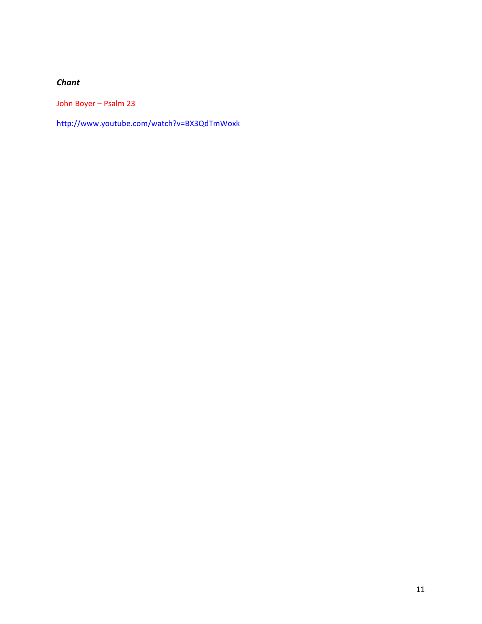# *Chant*

John Boyer – Psalm 23

http://www.youtube.com/watch?v=BX3QdTmWoxk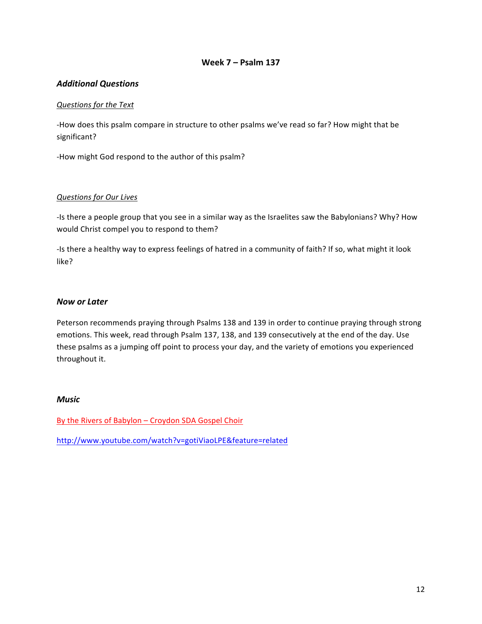# **Week 7 – Psalm 137**

# *Additional Questions*

### *Questions for the Text*

-How does this psalm compare in structure to other psalms we've read so far? How might that be significant?

-How might God respond to the author of this psalm?

### *Questions for Our Lives*

-Is there a people group that you see in a similar way as the Israelites saw the Babylonians? Why? How would Christ compel you to respond to them?

-Is there a healthy way to express feelings of hatred in a community of faith? If so, what might it look like?

### *Now or Later*

Peterson recommends praying through Psalms 138 and 139 in order to continue praying through strong emotions. This week, read through Psalm 137, 138, and 139 consecutively at the end of the day. Use these psalms as a jumping off point to process your day, and the variety of emotions you experienced throughout it.

#### *Music*

By the Rivers of Babylon - Croydon SDA Gospel Choir

http://www.youtube.com/watch?v=gotiViaoLPE&feature=related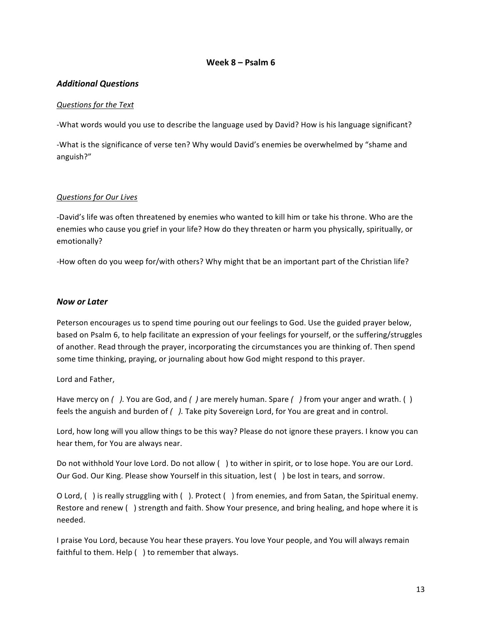### **Week 8 – Psalm 6**

### *Additional Questions*

### *Questions for the Text*

-What words would you use to describe the language used by David? How is his language significant?

-What is the significance of verse ten? Why would David's enemies be overwhelmed by "shame and anguish?" 

### *Questions for Our Lives*

-David's life was often threatened by enemies who wanted to kill him or take his throne. Who are the enemies who cause you grief in your life? How do they threaten or harm you physically, spiritually, or emotionally? 

-How often do you weep for/with others? Why might that be an important part of the Christian life?

### *Now or Later*

Peterson encourages us to spend time pouring out our feelings to God. Use the guided prayer below, based on Psalm 6, to help facilitate an expression of your feelings for yourself, or the suffering/struggles of another. Read through the prayer, incorporating the circumstances you are thinking of. Then spend some time thinking, praying, or journaling about how God might respond to this prayer.

### Lord and Father,

Have mercy on  $\binom{ }{ }$ . You are God, and  $\binom{ }{ }$  are merely human. Spare  $\binom{ }{ }$  from your anger and wrath.  $\binom{ }{ }$ feels the anguish and burden of  $/$  ). Take pity Sovereign Lord, for You are great and in control.

Lord, how long will you allow things to be this way? Please do not ignore these prayers. I know you can hear them, for You are always near.

Do not withhold Your love Lord. Do not allow () to wither in spirit, or to lose hope. You are our Lord. Our God. Our King. Please show Yourself in this situation, lest  $($ ) be lost in tears, and sorrow.

O Lord,  $( )$  is really struggling with  $( )$ . Protect  $( )$  from enemies, and from Satan, the Spiritual enemy. Restore and renew () strength and faith. Show Your presence, and bring healing, and hope where it is needed. 

I praise You Lord, because You hear these prayers. You love Your people, and You will always remain faithful to them. Help  $( \ )$  to remember that always.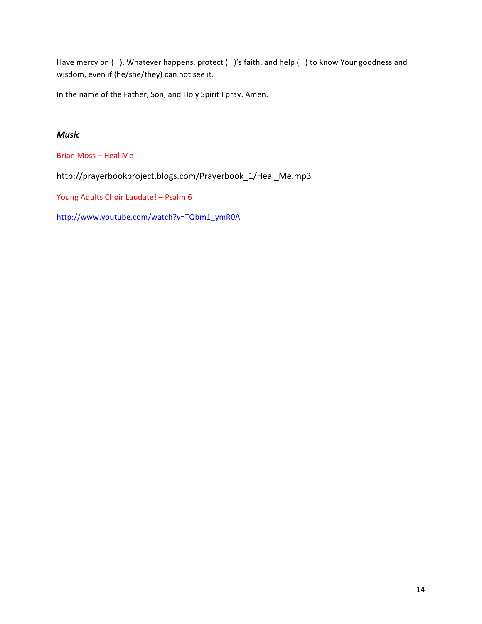Have mercy on ( ). Whatever happens, protect ( )'s faith, and help ( ) to know Your goodness and wisdom, even if (he/she/they) can not see it.

In the name of the Father, Son, and Holy Spirit I pray. Amen.

# *Music*

Brian Moss - Heal Me

http://prayerbookproject.blogs.com/Prayerbook\_1/Heal\_Me.mp3

Young Adults Choir Laudate! - Psalm 6

http://www.youtube.com/watch?v=TQbm1\_ymR0A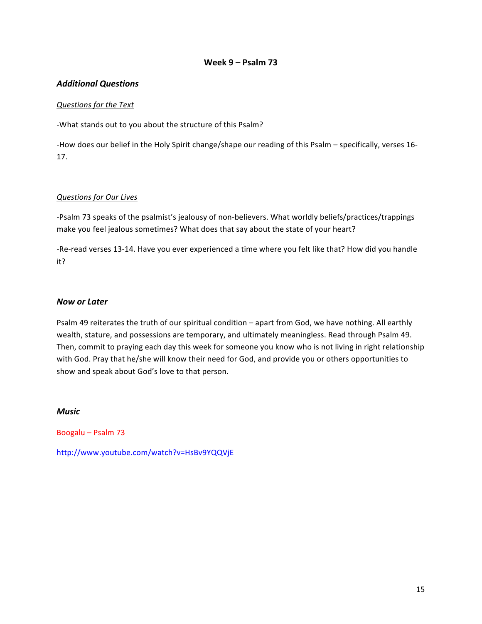# **Week 9 – Psalm 73**

# *Additional Questions*

### *Questions for the Text*

-What stands out to you about the structure of this Psalm?

-How does our belief in the Holy Spirit change/shape our reading of this Psalm - specifically, verses 16-17. 

### *Questions for Our Lives*

-Psalm 73 speaks of the psalmist's jealousy of non-believers. What worldly beliefs/practices/trappings make you feel jealous sometimes? What does that say about the state of your heart?

-Re-read verses 13-14. Have you ever experienced a time where you felt like that? How did you handle it?

### *Now or Later*

Psalm 49 reiterates the truth of our spiritual condition – apart from God, we have nothing. All earthly wealth, stature, and possessions are temporary, and ultimately meaningless. Read through Psalm 49. Then, commit to praying each day this week for someone you know who is not living in right relationship with God. Pray that he/she will know their need for God, and provide you or others opportunities to show and speak about God's love to that person.

### *Music*

Boogalu – Psalm 73

http://www.youtube.com/watch?v=HsBv9YQQVjE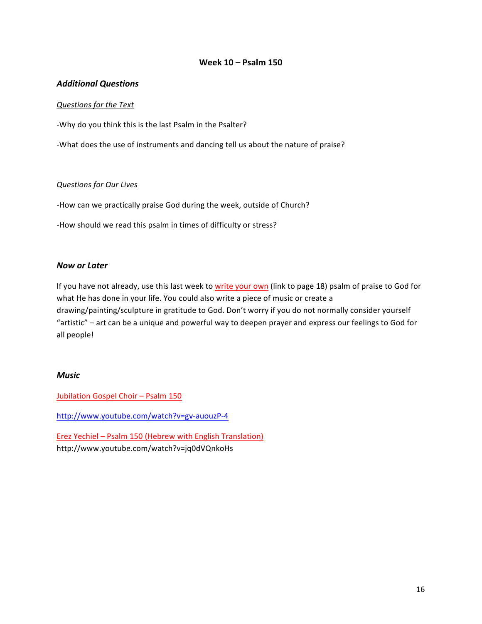# **Week 10 – Psalm 150**

### *Additional Questions*

### *Questions for the Text*

-Why do you think this is the last Psalm in the Psalter?

-What does the use of instruments and dancing tell us about the nature of praise?

### *Questions for Our Lives*

-How can we practically praise God during the week, outside of Church?

-How should we read this psalm in times of difficulty or stress?

### *Now or Later*

If you have not already, use this last week to write your own (link to page 18) psalm of praise to God for what He has done in your life. You could also write a piece of music or create a drawing/painting/sculpture in gratitude to God. Don't worry if you do not normally consider yourself "artistic" – art can be a unique and powerful way to deepen prayer and express our feelings to God for all people!

### *Music*

Jubilation Gospel Choir - Psalm 150

http://www.youtube.com/watch?v=gv-auouzP-4

Erez Yechiel – Psalm 150 (Hebrew with English Translation) http://www.youtube.com/watch?v=jq0dVQnkoHs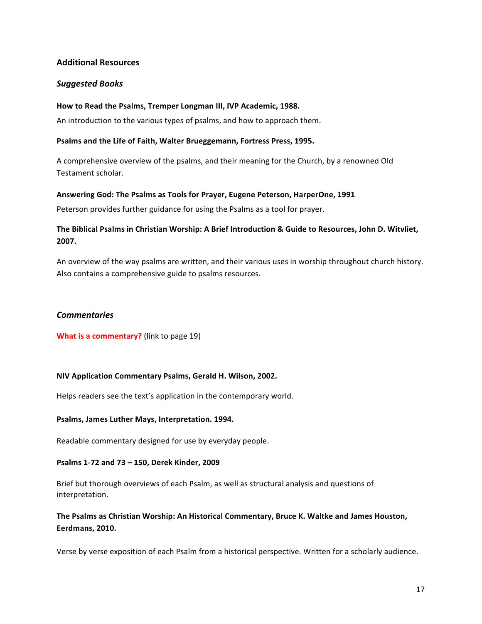# **Additional Resources**

### *Suggested Books*

### How to Read the Psalms, Tremper Longman III, IVP Academic, 1988.

An introduction to the various types of psalms, and how to approach them.

### Psalms and the Life of Faith, Walter Brueggemann, Fortress Press, 1995.

A comprehensive overview of the psalms, and their meaning for the Church, by a renowned Old Testament scholar.

### Answering God: The Psalms as Tools for Prayer, Eugene Peterson, HarperOne, 1991

Peterson provides further guidance for using the Psalms as a tool for prayer.

# The Biblical Psalms in Christian Worship: A Brief Introduction & Guide to Resources, John D. Witvliet, **2007.**

An overview of the way psalms are written, and their various uses in worship throughout church history. Also contains a comprehensive guide to psalms resources.

### *Commentaries*

**What is a commentary?** (link to page 19)

### **NIV Application Commentary Psalms, Gerald H. Wilson, 2002.**

Helps readers see the text's application in the contemporary world.

#### Psalms, James Luther Mays, Interpretation. 1994.

Readable commentary designed for use by everyday people.

### **Psalms 1-72 and 73 – 150, Derek Kinder, 2009**

Brief but thorough overviews of each Psalm, as well as structural analysis and questions of interpretation. 

# The Psalms as Christian Worship: An Historical Commentary, Bruce K. Waltke and James Houston, **Eerdmans, 2010.**

Verse by verse exposition of each Psalm from a historical perspective. Written for a scholarly audience.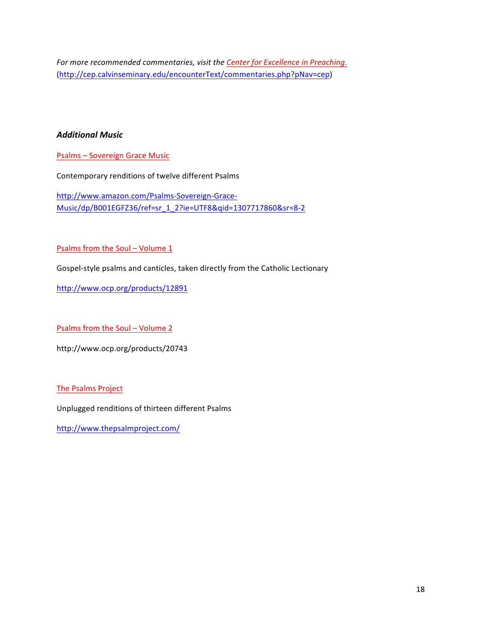For more recommended commentaries, visit the Center for Excellence in Preaching. (http://cep.calvinseminary.edu/encounterText/commentaries.php?pNav=cep)

# *Additional Music*

Psalms - Sovereign Grace Music

Contemporary renditions of twelve different Psalms

http://www.amazon.com/Psalms-Sovereign-Grace-Music/dp/B001EGFZ36/ref=sr\_1\_2?ie=UTF8&qid=1307717860&sr=8-2

Psalms from the Soul – Volume  $1$ 

Gospel-style psalms and canticles, taken directly from the Catholic Lectionary

http://www.ocp.org/products/12891

Psalms from the Soul – Volume 2

http://www.ocp.org/products/20743

The Psalms Project

Unplugged renditions of thirteen different Psalms

http://www.thepsalmproject.com/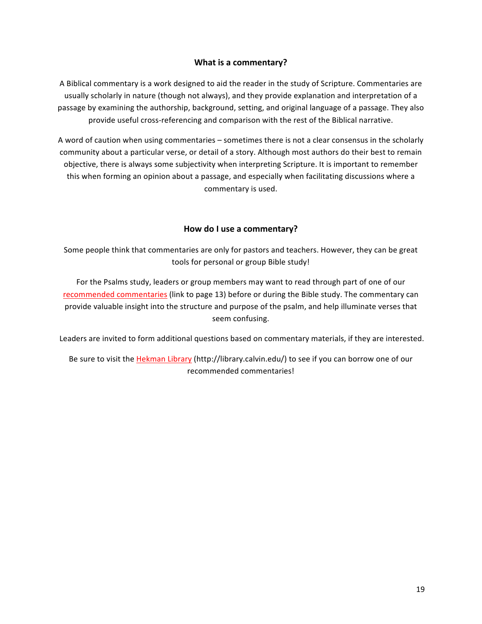# **What is a commentary?**

A Biblical commentary is a work designed to aid the reader in the study of Scripture. Commentaries are usually scholarly in nature (though not always), and they provide explanation and interpretation of a passage by examining the authorship, background, setting, and original language of a passage. They also provide useful cross-referencing and comparison with the rest of the Biblical narrative.

A word of caution when using commentaries – sometimes there is not a clear consensus in the scholarly community about a particular verse, or detail of a story. Although most authors do their best to remain objective, there is always some subjectivity when interpreting Scripture. It is important to remember this when forming an opinion about a passage, and especially when facilitating discussions where a commentary is used.

# **How do I use a commentary?**

Some people think that commentaries are only for pastors and teachers. However, they can be great tools for personal or group Bible study!

For the Psalms study, leaders or group members may want to read through part of one of our recommended commentaries (link to page 13) before or during the Bible study. The commentary can provide valuable insight into the structure and purpose of the psalm, and help illuminate verses that seem confusing.

Leaders are invited to form additional questions based on commentary materials, if they are interested.

Be sure to visit the Hekman Library (http://library.calvin.edu/) to see if you can borrow one of our recommended commentaries!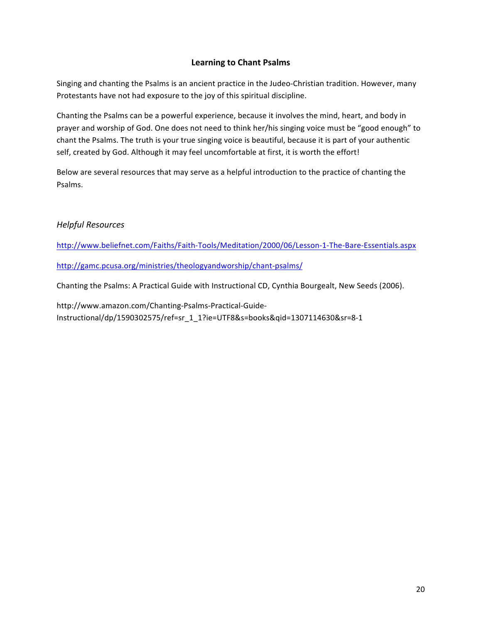# **Learning to Chant Psalms**

Singing and chanting the Psalms is an ancient practice in the Judeo-Christian tradition. However, many Protestants have not had exposure to the joy of this spiritual discipline.

Chanting the Psalms can be a powerful experience, because it involves the mind, heart, and body in prayer and worship of God. One does not need to think her/his singing voice must be "good enough" to chant the Psalms. The truth is your true singing voice is beautiful, because it is part of your authentic self, created by God. Although it may feel uncomfortable at first, it is worth the effort!

Below are several resources that may serve as a helpful introduction to the practice of chanting the Psalms. 

# *Helpful Resources*

http://www.beliefnet.com/Faiths/Faith-Tools/Meditation/2000/06/Lesson-1-The-Bare-Essentials.aspx

http://gamc.pcusa.org/ministries/theologyandworship/chant-psalms/

Chanting the Psalms: A Practical Guide with Instructional CD, Cynthia Bourgealt, New Seeds (2006).

http://www.amazon.com/Chanting-Psalms-Practical-Guide-Instructional/dp/1590302575/ref=sr\_1\_1?ie=UTF8&s=books&qid=1307114630&sr=8-1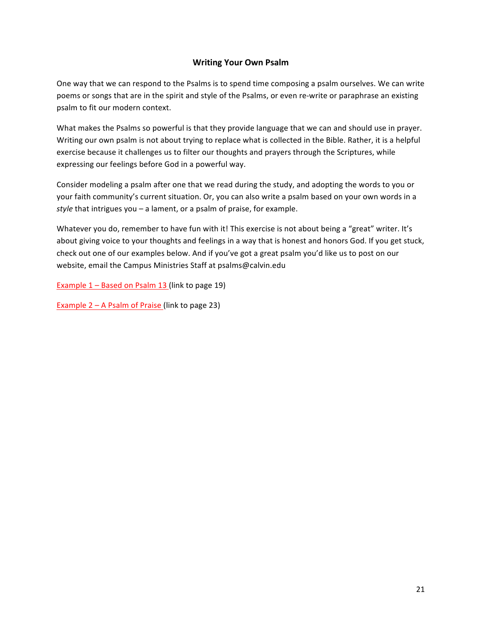# **Writing Your Own Psalm**

One way that we can respond to the Psalms is to spend time composing a psalm ourselves. We can write poems or songs that are in the spirit and style of the Psalms, or even re-write or paraphrase an existing psalm to fit our modern context.

What makes the Psalms so powerful is that they provide language that we can and should use in prayer. Writing our own psalm is not about trying to replace what is collected in the Bible. Rather, it is a helpful exercise because it challenges us to filter our thoughts and prayers through the Scriptures, while expressing our feelings before God in a powerful way.

Consider modeling a psalm after one that we read during the study, and adopting the words to you or your faith community's current situation. Or, you can also write a psalm based on your own words in a  $style$  that intrigues you – a lament, or a psalm of praise, for example.

Whatever you do, remember to have fun with it! This exercise is not about being a "great" writer. It's about giving voice to your thoughts and feelings in a way that is honest and honors God. If you get stuck, check out one of our examples below. And if you've got a great psalm you'd like us to post on our website, email the Campus Ministries Staff at psalms@calvin.edu

Example  $1 -$  Based on Psalm 13 (link to page 19)

Example  $2 - A$  Psalm of Praise (link to page 23)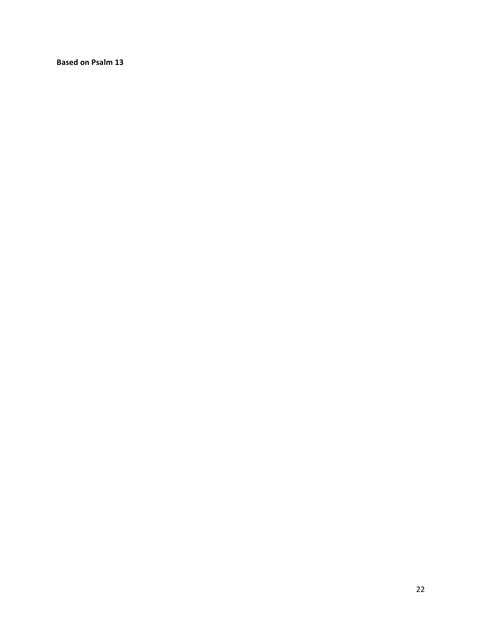**Based on Psalm 13**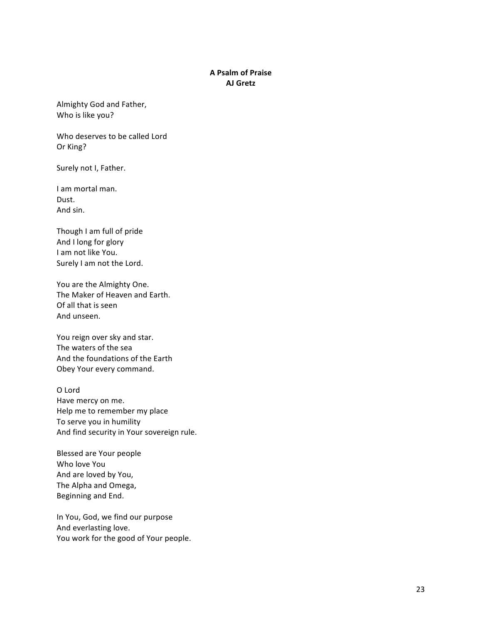### **A Psalm of Praise AJ Gretz**

Almighty God and Father, Who is like you?

Who deserves to be called Lord Or King?

Surely not I, Father.

I am mortal man. Dust. And sin.

Though I am full of pride And I long for glory I am not like You. Surely I am not the Lord.

You are the Almighty One. The Maker of Heaven and Earth. Of all that is seen And unseen.

You reign over sky and star. The waters of the sea And the foundations of the Earth Obey Your every command.

O Lord Have mercy on me. Help me to remember my place To serve you in humility And find security in Your sovereign rule.

Blessed are Your people Who love You And are loved by You, The Alpha and Omega, Beginning and End.

In You, God, we find our purpose And everlasting love. You work for the good of Your people.